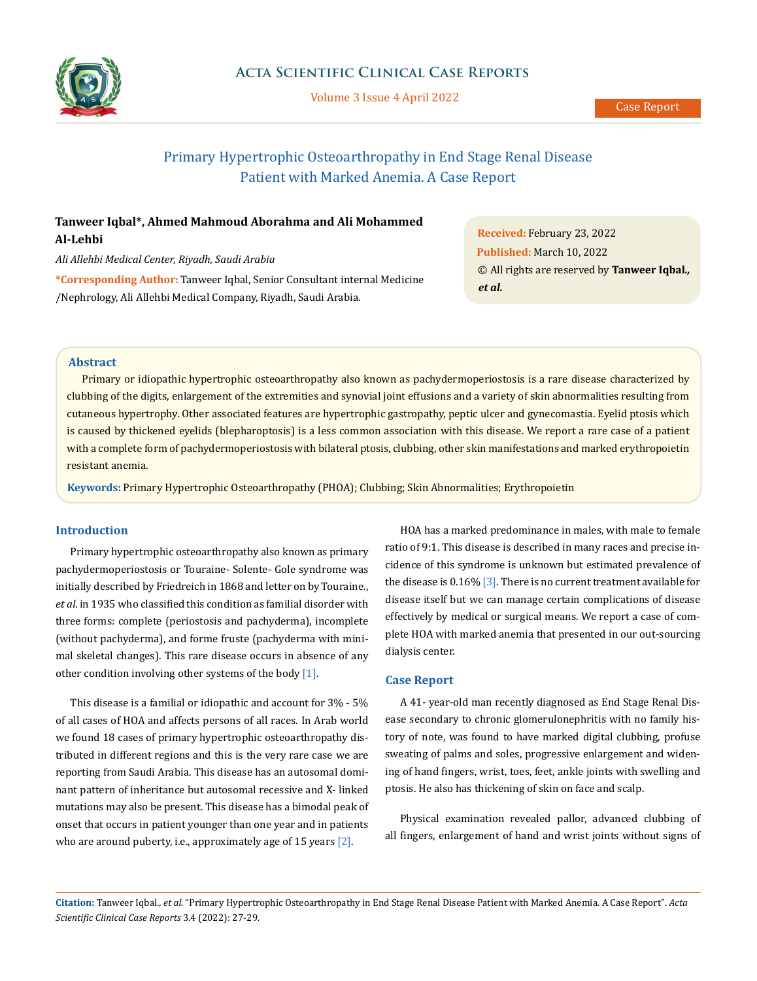

Volume 3 Issue 4 April 2022

# Primary Hypertrophic Osteoarthropathy in End Stage Renal Disease Patient with Marked Anemia. A Case Report

# **Tanweer Iqbal\*, Ahmed Mahmoud Aborahma and Ali Mohammed Al-Lehbi**

*Ali Allehbi Medical Center, Riyadh, Saudi Arabia*

**\*Corresponding Author:** Tanweer Iqbal, Senior Consultant internal Medicine /Nephrology, Ali Allehbi Medical Company, Riyadh, Saudi Arabia.

**Received:** February 23, 2022 **Published:** March 10, 2022 © All rights are reserved by **Tanweer Iqbal***., et al.*

### **Abstract**

Primary or idiopathic hypertrophic osteoarthropathy also known as pachydermoperiostosis is a rare disease characterized by clubbing of the digits, enlargement of the extremities and synovial joint effusions and a variety of skin abnormalities resulting from cutaneous hypertrophy. Other associated features are hypertrophic gastropathy, peptic ulcer and gynecomastia. Eyelid ptosis which is caused by thickened eyelids (blepharoptosis) is a less common association with this disease. We report a rare case of a patient with a complete form of pachydermoperiostosis with bilateral ptosis, clubbing, other skin manifestations and marked erythropoietin resistant anemia.

**Keywords:** Primary Hypertrophic Osteoarthropathy (PHOA); Clubbing; Skin Abnormalities; Erythropoietin

# **Introduction**

Primary hypertrophic osteoarthropathy also known as primary pachydermoperiostosis or Touraine- Solente- Gole syndrome was initially described by Friedreich in 1868 and letter on by Touraine., *et al*. in 1935 who classified this condition as familial disorder with three forms: complete (periostosis and pachyderma), incomplete (without pachyderma), and forme fruste (pachyderma with minimal skeletal changes). This rare disease occurs in absence of any other condition involving other systems of the body [1].

This disease is a familial or idiopathic and account for 3% - 5% of all cases of HOA and affects persons of all races. In Arab world we found 18 cases of primary hypertrophic osteoarthropathy distributed in different regions and this is the very rare case we are reporting from Saudi Arabia. This disease has an autosomal dominant pattern of inheritance but autosomal recessive and X- linked mutations may also be present. This disease has a bimodal peak of onset that occurs in patient younger than one year and in patients who are around puberty, i.e., approximately age of 15 years [2].

HOA has a marked predominance in males, with male to female ratio of 9:1. This disease is described in many races and precise incidence of this syndrome is unknown but estimated prevalence of the disease is  $0.16\%$  [3]. There is no current treatment available for disease itself but we can manage certain complications of disease effectively by medical or surgical means. We report a case of complete HOA with marked anemia that presented in our out-sourcing dialysis center.

## **Case Report**

A 41- year-old man recently diagnosed as End Stage Renal Disease secondary to chronic glomerulonephritis with no family history of note, was found to have marked digital clubbing, profuse sweating of palms and soles, progressive enlargement and widening of hand fingers, wrist, toes, feet, ankle joints with swelling and ptosis. He also has thickening of skin on face and scalp.

Physical examination revealed pallor, advanced clubbing of all fingers, enlargement of hand and wrist joints without signs of

**Citation:** Tanweer Iqbal*., et al.* "Primary Hypertrophic Osteoarthropathy in End Stage Renal Disease Patient with Marked Anemia. A Case Report". *Acta Scientific Clinical Case Reports* 3.4 (2022): 27-29.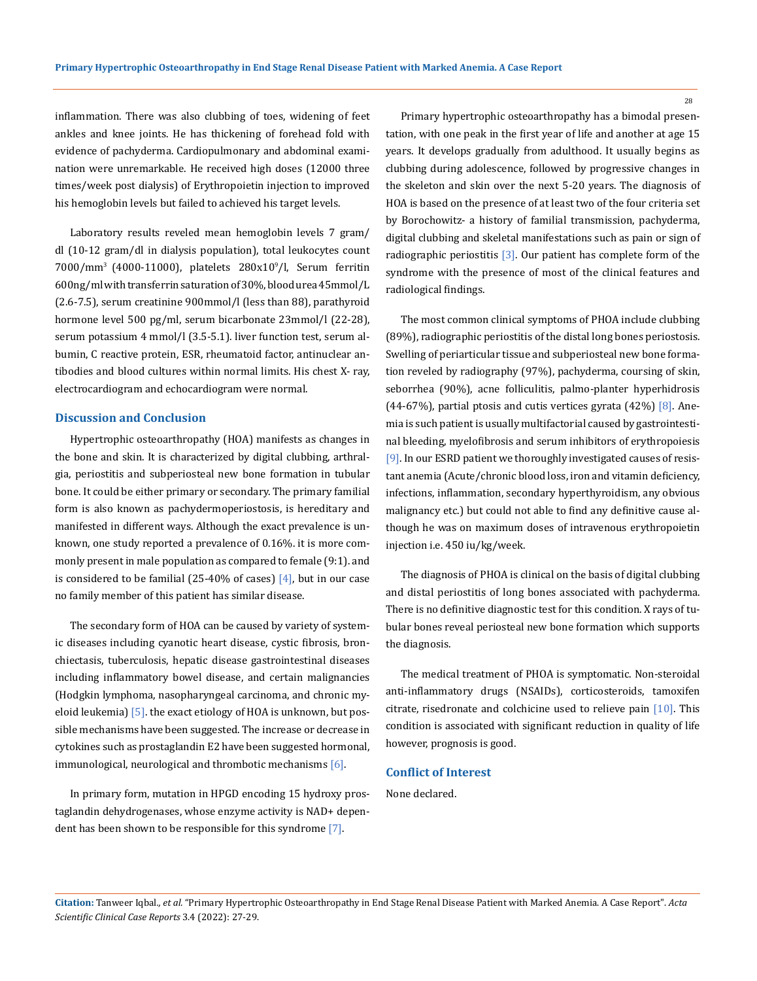inflammation. There was also clubbing of toes, widening of feet ankles and knee joints. He has thickening of forehead fold with evidence of pachyderma. Cardiopulmonary and abdominal examination were unremarkable. He received high doses (12000 three times/week post dialysis) of Erythropoietin injection to improved his hemoglobin levels but failed to achieved his target levels.

Laboratory results reveled mean hemoglobin levels 7 gram/ dl (10-12 gram/dl in dialysis population), total leukocytes count 7000/mm3 (4000-11000), platelets 280x109 /l, Serum ferritin 600ng/ml with transferrin saturation of 30%, blood urea 45mmol/L (2.6-7.5), serum creatinine 900mmol/l (less than 88), parathyroid hormone level 500 pg/ml, serum bicarbonate 23mmol/l (22-28), serum potassium 4 mmol/l (3.5-5.1). liver function test, serum albumin, C reactive protein, ESR, rheumatoid factor, antinuclear antibodies and blood cultures within normal limits. His chest X- ray, electrocardiogram and echocardiogram were normal.

#### **Discussion and Conclusion**

Hypertrophic osteoarthropathy (HOA) manifests as changes in the bone and skin. It is characterized by digital clubbing, arthralgia, periostitis and subperiosteal new bone formation in tubular bone. It could be either primary or secondary. The primary familial form is also known as pachydermoperiostosis, is hereditary and manifested in different ways. Although the exact prevalence is unknown, one study reported a prevalence of 0.16%. it is more commonly present in male population as compared to female (9:1). and is considered to be familial (25-40% of cases)  $[4]$ , but in our case no family member of this patient has similar disease.

The secondary form of HOA can be caused by variety of systemic diseases including cyanotic heart disease, cystic fibrosis, bronchiectasis, tuberculosis, hepatic disease gastrointestinal diseases including inflammatory bowel disease, and certain malignancies (Hodgkin lymphoma, nasopharyngeal carcinoma, and chronic myeloid leukemia)  $\overline{5}$ . the exact etiology of HOA is unknown, but possible mechanisms have been suggested. The increase or decrease in cytokines such as prostaglandin E2 have been suggested hormonal, immunological, neurological and thrombotic mechanisms  $[6]$ .

In primary form, mutation in HPGD encoding 15 hydroxy prostaglandin dehydrogenases, whose enzyme activity is NAD+ dependent has been shown to be responsible for this syndrome [7].

Primary hypertrophic osteoarthropathy has a bimodal presentation, with one peak in the first year of life and another at age 15 years. It develops gradually from adulthood. It usually begins as clubbing during adolescence, followed by progressive changes in the skeleton and skin over the next 5-20 years. The diagnosis of HOA is based on the presence of at least two of the four criteria set by Borochowitz- a history of familial transmission, pachyderma, digital clubbing and skeletal manifestations such as pain or sign of radiographic periostitis  $[3]$ . Our patient has complete form of the syndrome with the presence of most of the clinical features and radiological findings.

The most common clinical symptoms of PHOA include clubbing (89%), radiographic periostitis of the distal long bones periostosis. Swelling of periarticular tissue and subperiosteal new bone formation reveled by radiography (97%), pachyderma, coursing of skin, seborrhea (90%), acne folliculitis, palmo-planter hyperhidrosis (44-67%), partial ptosis and cutis vertices gyrata  $(42\%)$  [8]. Anemia is such patient is usually multifactorial caused by gastrointestinal bleeding, myelofibrosis and serum inhibitors of erythropoiesis [9]. In our ESRD patient we thoroughly investigated causes of resistant anemia (Acute/chronic blood loss, iron and vitamin deficiency, infections, inflammation, secondary hyperthyroidism, any obvious malignancy etc.) but could not able to find any definitive cause although he was on maximum doses of intravenous erythropoietin injection i.e. 450 iu/kg/week.

The diagnosis of PHOA is clinical on the basis of digital clubbing and distal periostitis of long bones associated with pachyderma. There is no definitive diagnostic test for this condition. X rays of tubular bones reveal periosteal new bone formation which supports the diagnosis.

The medical treatment of PHOA is symptomatic. Non-steroidal anti-inflammatory drugs (NSAIDs), corticosteroids, tamoxifen citrate, risedronate and colchicine used to relieve pain [10]. This condition is associated with significant reduction in quality of life however, prognosis is good.

### **Conflict of Interest**

None declared.

28